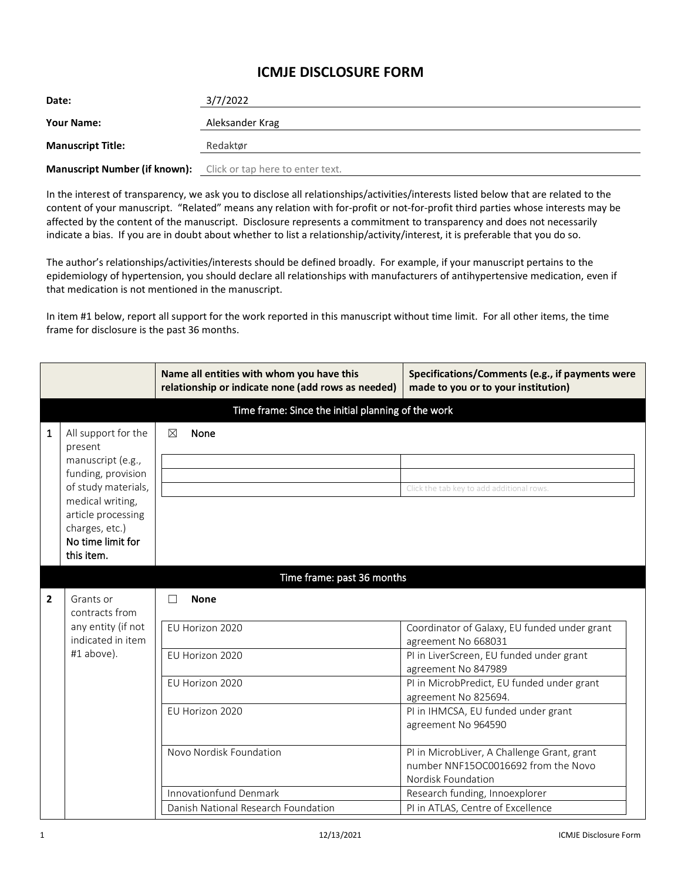## **ICMJE DISCLOSURE FORM**

| Date:                                                                 | 3/7/2022        |
|-----------------------------------------------------------------------|-----------------|
| <b>Your Name:</b>                                                     | Aleksander Krag |
| <b>Manuscript Title:</b>                                              | Redaktør        |
| <b>Manuscript Number (if known):</b> Click or tap here to enter text. |                 |

In the interest of transparency, we ask you to disclose all relationships/activities/interests listed below that are related to the content of your manuscript. "Related" means any relation with for-profit or not-for-profit third parties whose interests may be affected by the content of the manuscript. Disclosure represents a commitment to transparency and does not necessarily indicate a bias. If you are in doubt about whether to list a relationship/activity/interest, it is preferable that you do so.

The author's relationships/activities/interests should be defined broadly. For example, if your manuscript pertains to the epidemiology of hypertension, you should declare all relationships with manufacturers of antihypertensive medication, even if that medication is not mentioned in the manuscript.

In item #1 below, report all support for the work reported in this manuscript without time limit. For all other items, the time frame for disclosure is the past 36 months.

|                |                                                                                                                                                                                                 | Name all entities with whom you have this<br>relationship or indicate none (add rows as needed) | Specifications/Comments (e.g., if payments were<br>made to you or to your institution)                   |  |  |
|----------------|-------------------------------------------------------------------------------------------------------------------------------------------------------------------------------------------------|-------------------------------------------------------------------------------------------------|----------------------------------------------------------------------------------------------------------|--|--|
|                | Time frame: Since the initial planning of the work                                                                                                                                              |                                                                                                 |                                                                                                          |  |  |
| 1              | All support for the<br>present<br>manuscript (e.g.,<br>funding, provision<br>of study materials,<br>medical writing,<br>article processing<br>charges, etc.)<br>No time limit for<br>this item. | None<br>⊠                                                                                       | Click the tab key to add additional rows.                                                                |  |  |
|                |                                                                                                                                                                                                 | Time frame: past 36 months                                                                      |                                                                                                          |  |  |
| $\overline{2}$ | Grants or<br>contracts from<br>any entity (if not<br>indicated in item<br>#1 above).                                                                                                            | <b>None</b><br>П                                                                                |                                                                                                          |  |  |
|                |                                                                                                                                                                                                 | EU Horizon 2020                                                                                 | Coordinator of Galaxy, EU funded under grant<br>agreement No 668031                                      |  |  |
|                |                                                                                                                                                                                                 | EU Horizon 2020                                                                                 | PI in LiverScreen, EU funded under grant<br>agreement No 847989                                          |  |  |
|                |                                                                                                                                                                                                 | EU Horizon 2020                                                                                 | PI in MicrobPredict, EU funded under grant<br>agreement No 825694.                                       |  |  |
|                |                                                                                                                                                                                                 | EU Horizon 2020                                                                                 | PI in IHMCSA, EU funded under grant<br>agreement No 964590                                               |  |  |
|                |                                                                                                                                                                                                 | Novo Nordisk Foundation                                                                         | PI in MicrobLiver, A Challenge Grant, grant<br>number NNF15OC0016692 from the Novo<br>Nordisk Foundation |  |  |
|                |                                                                                                                                                                                                 | <b>Innovationfund Denmark</b>                                                                   | Research funding, Innoexplorer                                                                           |  |  |
|                |                                                                                                                                                                                                 | Danish National Research Foundation                                                             | PI in ATLAS, Centre of Excellence                                                                        |  |  |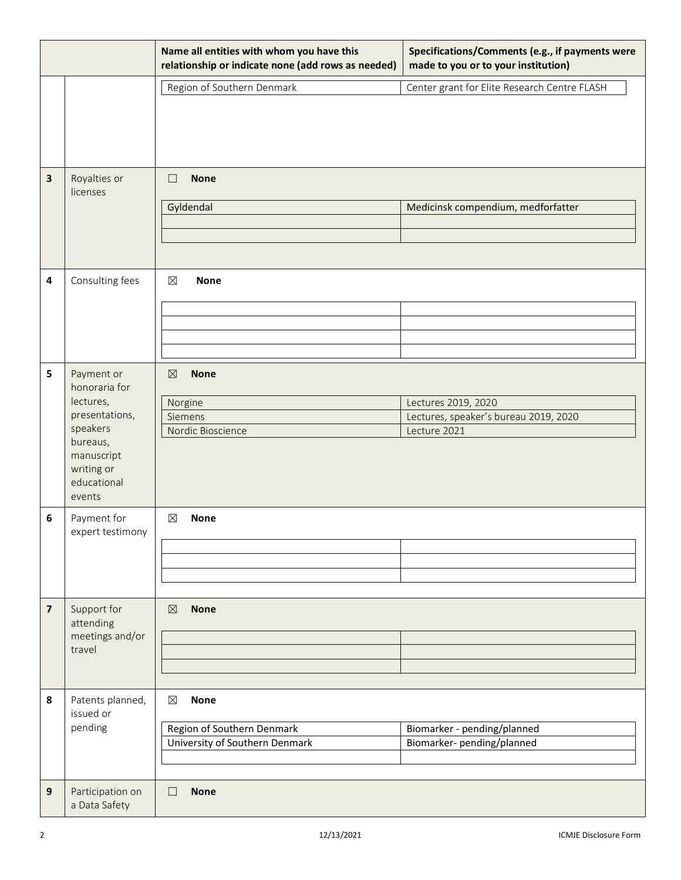|                                                    |                                   | Name all entities with whom you have this<br>relationship or indicate none (add rows as needed) | Specifications/Comments (e.g., if payments were<br>made to you or to your institution) |  |
|----------------------------------------------------|-----------------------------------|-------------------------------------------------------------------------------------------------|----------------------------------------------------------------------------------------|--|
|                                                    |                                   | Region of Southern Denmark                                                                      | Center grant for Elite Research Centre FLASH                                           |  |
|                                                    |                                   |                                                                                                 |                                                                                        |  |
| 3                                                  | Royalties or<br>licenses          | <b>None</b><br>$\Box$                                                                           |                                                                                        |  |
|                                                    |                                   | Gyldendal                                                                                       | Medicinsk compendium, medforfatter                                                     |  |
|                                                    |                                   |                                                                                                 |                                                                                        |  |
|                                                    |                                   |                                                                                                 |                                                                                        |  |
|                                                    |                                   |                                                                                                 |                                                                                        |  |
| Consulting fees<br>4<br>$\boxtimes$<br><b>None</b> |                                   |                                                                                                 |                                                                                        |  |
|                                                    |                                   |                                                                                                 |                                                                                        |  |
|                                                    |                                   |                                                                                                 |                                                                                        |  |
|                                                    |                                   |                                                                                                 |                                                                                        |  |
| 5                                                  | Payment or                        | <b>None</b><br>$\boxtimes$                                                                      |                                                                                        |  |
|                                                    | honoraria for                     |                                                                                                 |                                                                                        |  |
|                                                    | lectures,                         | Norgine                                                                                         | Lectures 2019, 2020                                                                    |  |
|                                                    | presentations,                    | Siemens                                                                                         | Lectures, speaker's bureau 2019, 2020                                                  |  |
|                                                    | speakers<br>bureaus,              | Nordic Bioscience                                                                               | Lecture 2021                                                                           |  |
|                                                    | manuscript                        |                                                                                                 |                                                                                        |  |
|                                                    | writing or                        |                                                                                                 |                                                                                        |  |
|                                                    | educational<br>events             |                                                                                                 |                                                                                        |  |
| 6                                                  | Payment for                       | $\boxtimes$<br><b>None</b>                                                                      |                                                                                        |  |
|                                                    | expert testimony                  |                                                                                                 |                                                                                        |  |
|                                                    |                                   |                                                                                                 |                                                                                        |  |
|                                                    |                                   |                                                                                                 |                                                                                        |  |
|                                                    |                                   |                                                                                                 |                                                                                        |  |
| $\overline{\mathbf{z}}$                            | Support for                       | $\boxtimes$<br><b>None</b>                                                                      |                                                                                        |  |
|                                                    | attending<br>meetings and/or      |                                                                                                 |                                                                                        |  |
|                                                    | travel                            |                                                                                                 |                                                                                        |  |
|                                                    |                                   |                                                                                                 |                                                                                        |  |
|                                                    |                                   |                                                                                                 |                                                                                        |  |
| 8                                                  | Patents planned,<br>issued or     | <b>None</b><br>⊠                                                                                |                                                                                        |  |
|                                                    | pending                           | Region of Southern Denmark                                                                      | Biomarker - pending/planned                                                            |  |
|                                                    |                                   | University of Southern Denmark                                                                  | Biomarker-pending/planned                                                              |  |
|                                                    |                                   |                                                                                                 |                                                                                        |  |
|                                                    |                                   |                                                                                                 |                                                                                        |  |
| 9                                                  | Participation on<br>a Data Safety | $\Box$<br><b>None</b>                                                                           |                                                                                        |  |